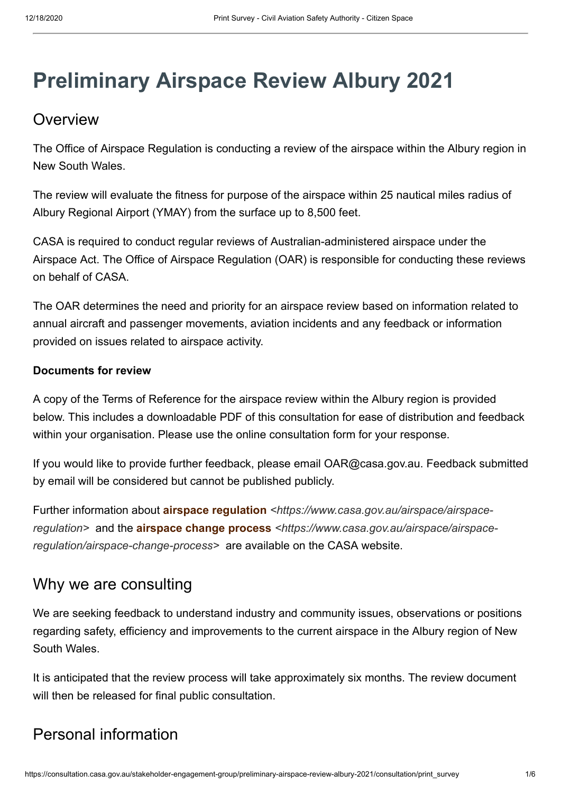# **Preliminary Airspace Review Albury 2021**

# **Overview**

The Office of Airspace Regulation is conducting a review of the airspace within the Albury region in New South Wales.

The review will evaluate the fitness for purpose of the airspace within 25 nautical miles radius of Albury Regional Airport (YMAY) from the surface up to 8,500 feet.

CASA is required to conduct regular reviews of Australian-administered airspace under the Airspace Act. The Office of Airspace Regulation (OAR) is responsible for conducting these reviews on behalf of CASA.

The OAR determines the need and priority for an airspace review based on information related to annual aircraft and passenger movements, aviation incidents and any feedback or information provided on issues related to airspace activity.

#### **Documents for review**

A copy of the Terms of Reference for the airspace review within the Albury region is provided below. This includes a downloadable PDF of this consultation for ease of distribution and feedback within your organisation. Please use the online consultation form for your response.

If you would like to provide further feedback, please email OAR@casa.gov.au. Feedback submitted by email will be considered but cannot be published publicly.

Further information about **airspace regulation** *[<https://www.casa.gov.au/airspace/airspace](https://www.casa.gov.au/airspace/airspace-regulation)regulation>* and the **airspace change process** *[<https://www.casa.gov.au/airspace/airspace](https://www.casa.gov.au/airspace/airspace-regulation/airspace-change-process)regulation/airspace-change-process>* are available on the CASA website.

# Why we are consulting

We are seeking feedback to understand industry and community issues, observations or positions regarding safety, efficiency and improvements to the current airspace in the Albury region of New South Wales.

It is anticipated that the review process will take approximately six months. The review document will then be released for final public consultation.

# Personal information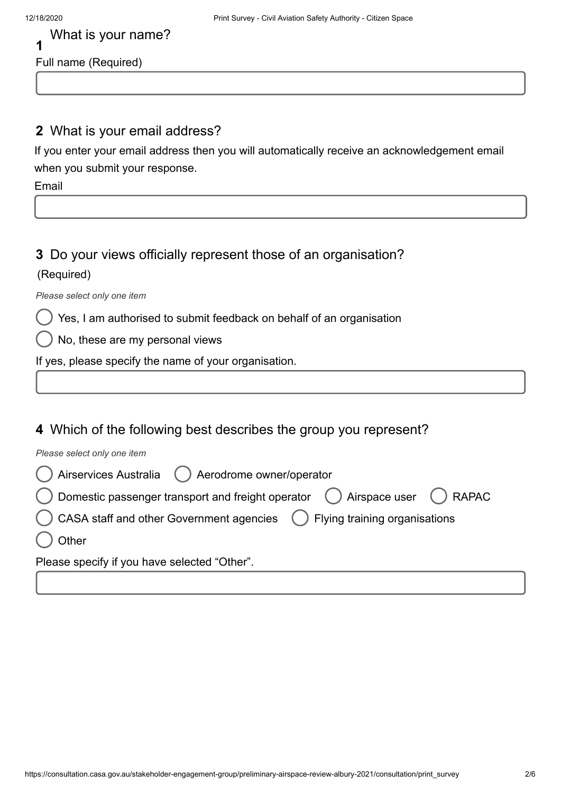#### **2** What is your email address?

If you enter your email address then you will automatically receive an acknowledgement email when you submit your response.

Email

### **3** Do your views officially represent those of an organisation? (Required)

*Please select only one item*

Yes, I am authorised to submit feedback on behalf of an organisation

No, these are my personal views

If yes, please specify the name of your organisation.

### **4** Which of the following best describes the group you represent?

*Please select only one item*

| () Airservices Australia () Aerodrome owner/operator                         |  |  |  |  |  |
|------------------------------------------------------------------------------|--|--|--|--|--|
| ◯ Domestic passenger transport and freight operator ◯ Airspace user ◯ RAPAC  |  |  |  |  |  |
| C CASA staff and other Government agencies (b) Flying training organisations |  |  |  |  |  |
| ) Other                                                                      |  |  |  |  |  |
| Please specify if you have selected "Other".                                 |  |  |  |  |  |
|                                                                              |  |  |  |  |  |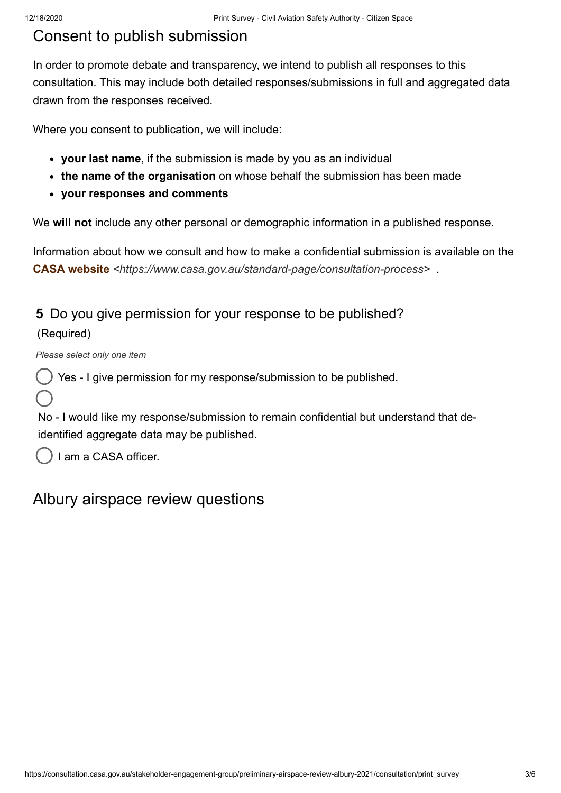# Consent to publish submission

In order to promote debate and transparency, we intend to publish all responses to this consultation. This may include both detailed responses/submissions in full and aggregated data drawn from the responses received.

Where you consent to publication, we will include:

- **your last name**, if the submission is made by you as an individual
- **the name of the organisation** on whose behalf the submission has been made
- **your responses and comments**

We **will not** include any other personal or demographic information in a published response.

Information about how we consult and how to make a confidential submission is available on the **CASA website** *[<https://www.casa.gov.au/standard-page/consultation-process>](https://www.casa.gov.au/standard-page/consultation-process)* .

### **5** Do you give permission for your response to be published?

#### (Required)

*Please select only one item*

Yes - I give permission for my response/submission to be published.

No - I would like my response/submission to remain confidential but understand that deidentified aggregate data may be published.

I am a CASA officer.

## Albury airspace review questions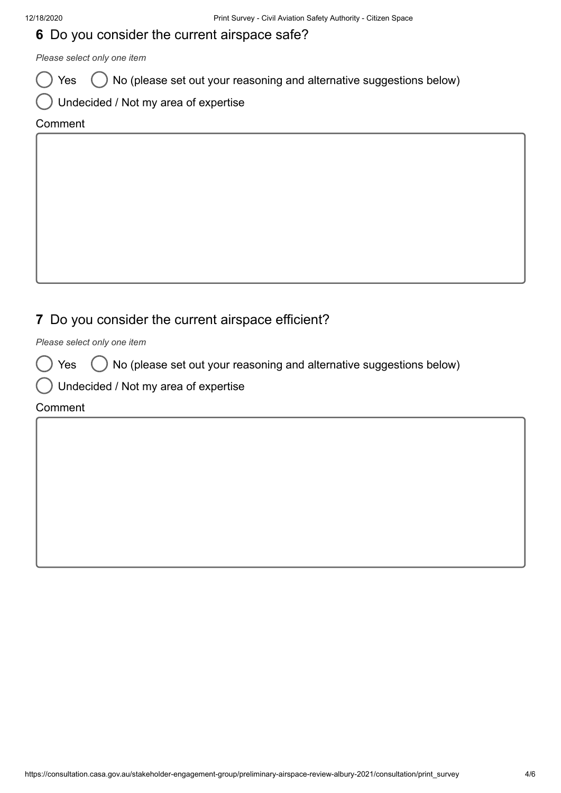### **6** Do you consider the current airspace safe?

*Please select only one item*

 $Yes$   $\bigcirc$  No (please set out your reasoning and alternative suggestions below)

|  | $\bigcup$ Undecided / Not my area of expertise |  |  |  |
|--|------------------------------------------------|--|--|--|
|--|------------------------------------------------|--|--|--|

#### Comment

## **7** Do you consider the current airspace efficient?

*Please select only one item*

 $Yes \bigcirc$  No (please set out your reasoning and alternative suggestions below)

Undecided / Not my area of expertise

#### **Comment**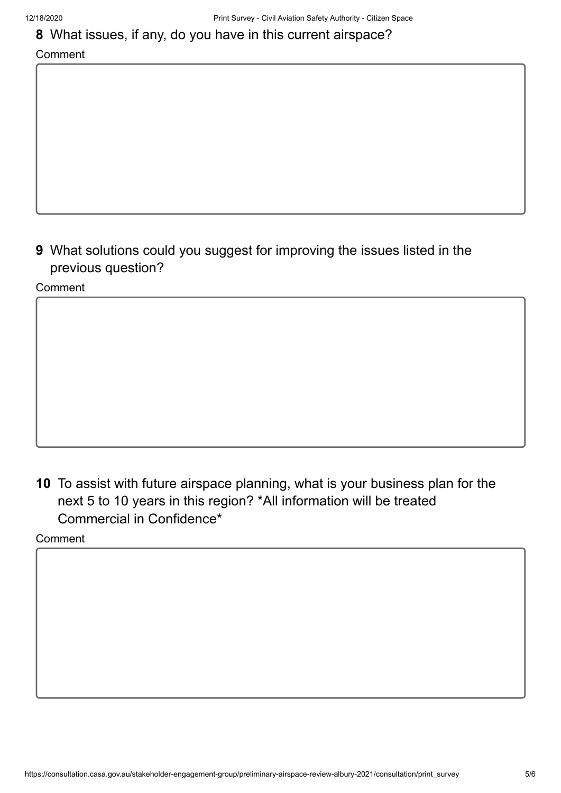### **8** What issues, if any, do you have in this current airspace?

#### Comment

**9** What solutions could you suggest for improving the issues listed in the previous question?

Comment

**10** To assist with future airspace planning, what is your business plan for the next 5 to 10 years in this region? \*All information will be treated Commercial in Confidence\*

Comment